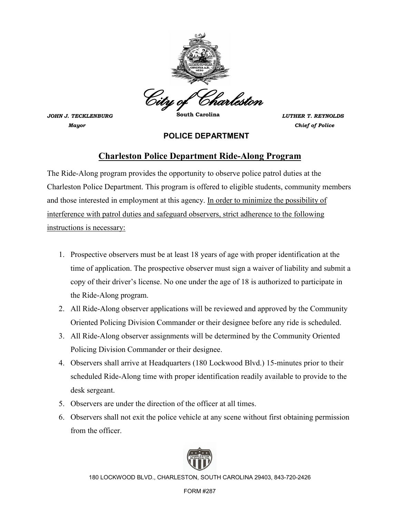

*JOHN J. TECKLENBURG* **South Carolina** *LUTHER T. REYNOLDS Mayor Chief of Police*

## **POLICE DEPARTMENT**

# **Charleston Police Department Ride-Along Program**

The Ride-Along program provides the opportunity to observe police patrol duties at the Charleston Police Department. This program is offered to eligible students, community members and those interested in employment at this agency. In order to minimize the possibility of interference with patrol duties and safeguard observers, strict adherence to the following instructions is necessary:

- 1. Prospective observers must be at least 18 years of age with proper identification at the time of application. The prospective observer must sign a waiver of liability and submit a copy of their driver's license. No one under the age of 18 is authorized to participate in the Ride-Along program.
- 2. All Ride-Along observer applications will be reviewed and approved by the Community Oriented Policing Division Commander or their designee before any ride is scheduled.
- 3. All Ride-Along observer assignments will be determined by the Community Oriented Policing Division Commander or their designee.
- 4. Observers shall arrive at Headquarters (180 Lockwood Blvd.) 15-minutes prior to their scheduled Ride-Along time with proper identification readily available to provide to the desk sergeant.
- 5. Observers are under the direction of the officer at all times.
- 6. Observers shall not exit the police vehicle at any scene without first obtaining permission from the officer.



180 LOCKWOOD BLVD., CHARLESTON, SOUTH CAROLINA 29403, 843-720-2426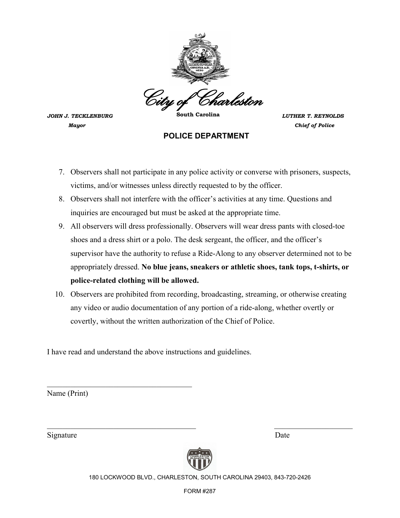

*JOHN J. TECKLENBURG* **South Carolina** *LUTHER T. REYNOLDS Mayor Chief of Police*

#### **POLICE DEPARTMENT**

- 7. Observers shall not participate in any police activity or converse with prisoners, suspects, victims, and/or witnesses unless directly requested to by the officer.
- 8. Observers shall not interfere with the officer's activities at any time. Questions and inquiries are encouraged but must be asked at the appropriate time.
- 9. All observers will dress professionally. Observers will wear dress pants with closed-toe shoes and a dress shirt or a polo. The desk sergeant, the officer, and the officer's supervisor have the authority to refuse a Ride-Along to any observer determined not to be appropriately dressed. **No blue jeans, sneakers or athletic shoes, tank tops, t-shirts, or police-related clothing will be allowed.**
- 10. Observers are prohibited from recording, broadcasting, streaming, or otherwise creating any video or audio documentation of any portion of a ride-along, whether overtly or covertly, without the written authorization of the Chief of Police.

I have read and understand the above instructions and guidelines.

\_\_\_\_\_\_\_\_\_\_\_\_\_\_\_\_\_\_\_\_\_\_\_\_\_\_\_\_\_\_\_\_\_\_\_\_\_

Name (Print)

Signature Date



 $\mathcal{L}_\text{max}$  , and the contribution of the contribution of the contribution of the contribution of the contribution of the contribution of the contribution of the contribution of the contribution of the contribution of t

180 LOCKWOOD BLVD., CHARLESTON, SOUTH CAROLINA 29403, 843-720-2426